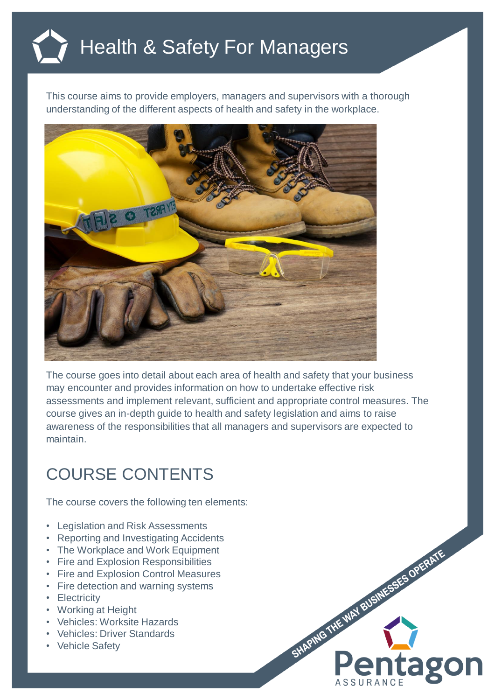## Health & Safety For Managers

This course aims to provide employers, managers and supervisors with a thorough understanding of the different aspects of health and safety in the workplace.



The course goes into detail about each area of health and safety that your business may encounter and provides information on how to undertake effective risk assessments and implement relevant, sufficient and appropriate control measures. The course gives an in-depth guide to health and safety legislation and aims to raise awareness of the responsibilities that all managers and supervisors are expected to maintain.

SHAPING THE WAY BUSINESSES OPERATE

**ago** 

## COURSE CONTENTS

The course covers the following ten elements:

- Legislation and Risk Assessments
- Reporting and Investigating Accidents
- The Workplace and Work Equipment
- Fire and Explosion Responsibilities
- Fire and Explosion Control Measures
- Fire detection and warning systems
- Electricity
- Working at Height
- Vehicles: Worksite Hazards
- Vehicles: Driver Standards
- Vehicle Safety